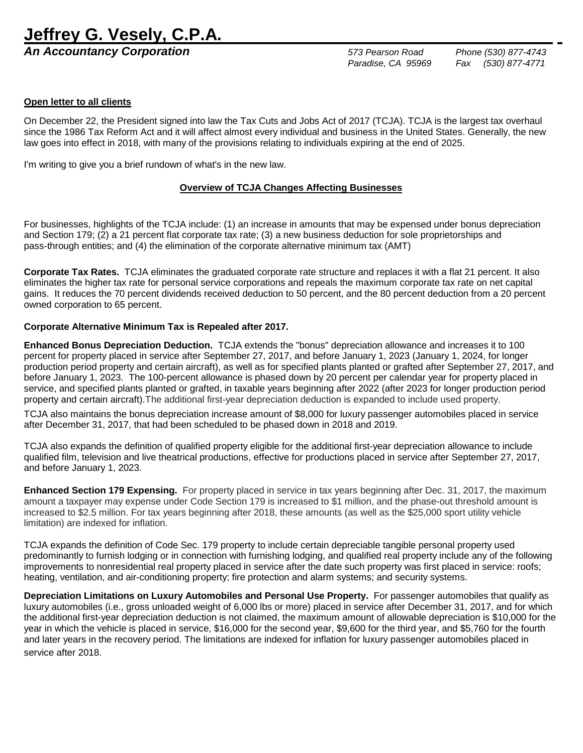# **Jeffrey G. Vesely, C.P.A.**

*An Accountancy Corporation 573 Pearson Road Phone (530) 877-4743*

 *Paradise, CA 95969 Fax (530) 877-4771*

## **Open letter to all clients**

On December 22, the President signed into law the Tax Cuts and Jobs Act of 2017 (TCJA). TCJA is the largest tax overhaul since the 1986 Tax Reform Act and it will affect almost every individual and business in the United States. Generally, the new law goes into effect in 2018, with many of the provisions relating to individuals expiring at the end of 2025.

I'm writing to give you a brief rundown of what's in the new law.

## **Overview of TCJA Changes Affecting Businesses**

For businesses, highlights of the TCJA include: (1) an increase in amounts that may be expensed under bonus depreciation and Section 179; (2) a 21 percent flat corporate tax rate; (3) a new business deduction for sole proprietorships and pass-through entities; and (4) the elimination of the corporate alternative minimum tax (AMT)

**Corporate Tax Rates.** TCJA eliminates the graduated corporate rate structure and replaces it with a flat 21 percent. It also eliminates the higher tax rate for personal service corporations and repeals the maximum corporate tax rate on net capital gains. It reduces the 70 percent dividends received deduction to 50 percent, and the 80 percent deduction from a 20 percent owned corporation to 65 percent.

## **Corporate Alternative Minimum Tax is Repealed after 2017.**

**Enhanced Bonus Depreciation Deduction.** TCJA extends the "bonus" depreciation allowance and increases it to 100 percent for property placed in service after September 27, 2017, and before January 1, 2023 (January 1, 2024, for longer production period property and certain aircraft), as well as for specified plants planted or grafted after September 27, 2017, and before January 1, 2023. The 100-percent allowance is phased down by 20 percent per calendar year for property placed in service, and specified plants planted or grafted, in taxable years beginning after 2022 (after 2023 for longer production period property and certain aircraft).The additional first-year depreciation deduction is expanded to include used property.

TCJA also maintains the bonus depreciation increase amount of \$8,000 for luxury passenger automobiles placed in service after December 31, 2017, that had been scheduled to be phased down in 2018 and 2019.

TCJA also expands the definition of qualified property eligible for the additional first-year depreciation allowance to include qualified film, television and live theatrical productions, effective for productions placed in service after September 27, 2017, and before January 1, 2023.

**Enhanced Section 179 Expensing.** For property placed in service in tax years beginning after Dec. 31, 2017, the maximum amount a taxpayer may expense under Code Section 179is increased to \$1 million, and the phase-out threshold amount is increased to \$2.5 million. For tax years beginning after 2018, these amounts (as well as the \$25,000 sport utility vehicle limitation) are indexed for inflation.

TCJA expands the definition of Code Sec. 179 property to include certain depreciable tangible personal property used predominantly to furnish lodging or in connection with furnishing lodging, and qualified real property include any of the following improvements to nonresidential real property placed in service after the date such property was first placed in service: roofs; heating, ventilation, and air-conditioning property; fire protection and alarm systems; and security systems.

**Depreciation Limitations on Luxury Automobiles and Personal Use Property.** For passenger automobiles that qualify as luxury automobiles (i.e., gross unloaded weight of 6,000 lbs or more) placed in service after December 31, 2017, and for which the additional first-year depreciation deduction is not claimed, the maximum amount of allowable depreciation is \$10,000 for the year in which the vehicle is placed in service, \$16,000 for the second year, \$9,600 for the third year, and \$5,760 for the fourth and later years in the recovery period. The limitations are indexed for inflation for luxury passenger automobiles placed in service after 2018.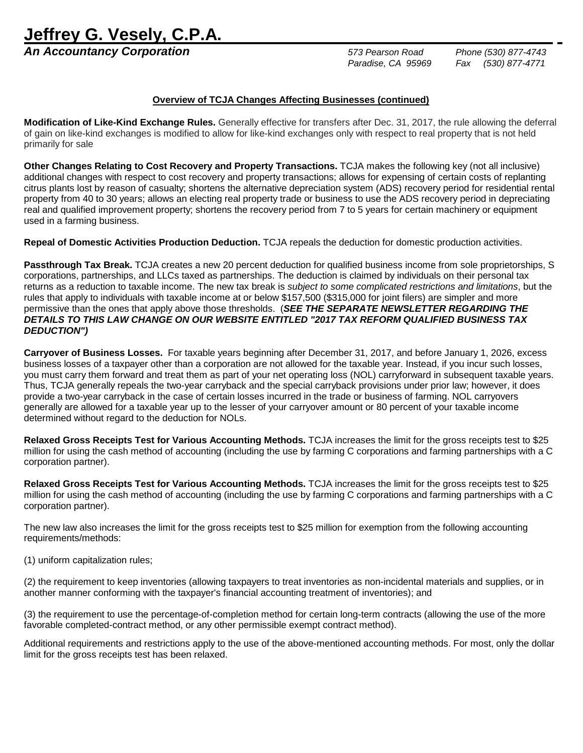**Jeffrey G. Vesely, C.P.A.** 

*An Accountancy Corporation 573 Pearson Road Phone (530) 877-4743*

 *Paradise, CA 95969 Fax (530) 877-4771*

### **Overview of TCJA Changes Affecting Businesses (continued)**

**Modification of Like-Kind Exchange Rules.** Generally effective for transfers after Dec. 31, 2017, the rule allowing the deferral of gain on like-kind exchanges is modified to allow for like-kind exchanges only with respect to real property that is not held primarily for sale

**Other Changes Relating to Cost Recovery and Property Transactions.** TCJA makes the following key (not all inclusive) additional changes with respect to cost recovery and property transactions; allows for expensing of certain costs of replanting citrus plants lost by reason of casualty; shortens the alternative depreciation system (ADS) recovery period for residential rental property from 40 to 30 years; allows an electing real property trade or business to use the ADS recovery period in depreciating real and qualified improvement property; shortens the recovery period from 7 to 5 years for certain machinery or equipment used in a farming business.

**Repeal of Domestic Activities Production Deduction.** TCJA repeals the deduction for domestic production activities.

**Passthrough Tax Break.** TCJA creates a new 20 percent deduction for qualified business income from sole proprietorships, S corporations, partnerships, and LLCs taxed as partnerships. The deduction is claimed by individuals on their personal tax returns as a reduction to taxable income. The new tax break is *subject to some complicated restrictions and limitations*, but the rules that apply to individuals with taxable income at or below \$157,500 (\$315,000 for joint filers) are simpler and more permissive than the ones that apply above those thresholds. (*SEE THE SEPARATE NEWSLETTER REGARDING THE DETAILS TO THIS LAW CHANGE ON OUR WEBSITE ENTITLED "2017 TAX REFORM QUALIFIED BUSINESS TAX DEDUCTION")* 

**Carryover of Business Losses.** For taxable years beginning after December 31, 2017, and before January 1, 2026, excess business losses of a taxpayer other than a corporation are not allowed for the taxable year. Instead, if you incur such losses, you must carry them forward and treat them as part of your net operating loss (NOL) carryforward in subsequent taxable years. Thus, TCJA generally repeals the two-year carryback and the special carryback provisions under prior law; however, it does provide a two-year carryback in the case of certain losses incurred in the trade or business of farming. NOL carryovers generally are allowed for a taxable year up to the lesser of your carryover amount or 80 percent of your taxable income determined without regard to the deduction for NOLs.

**Relaxed Gross Receipts Test for Various Accounting Methods.** TCJA increases the limit for the gross receipts test to \$25 million for using the cash method of accounting (including the use by farming C corporations and farming partnerships with a C corporation partner).

**Relaxed Gross Receipts Test for Various Accounting Methods.** TCJA increases the limit for the gross receipts test to \$25 million for using the cash method of accounting (including the use by farming C corporations and farming partnerships with a C corporation partner).

The new law also increases the limit for the gross receipts test to \$25 million for exemption from the following accounting requirements/methods:

(1) uniform capitalization rules;

(2) the requirement to keep inventories (allowing taxpayers to treat inventories as non-incidental materials and supplies, or in another manner conforming with the taxpayer's financial accounting treatment of inventories); and

(3) the requirement to use the percentage-of-completion method for certain long-term contracts (allowing the use of the more favorable completed-contract method, or any other permissible exempt contract method).

Additional requirements and restrictions apply to the use of the above-mentioned accounting methods. For most, only the dollar limit for the gross receipts test has been relaxed.